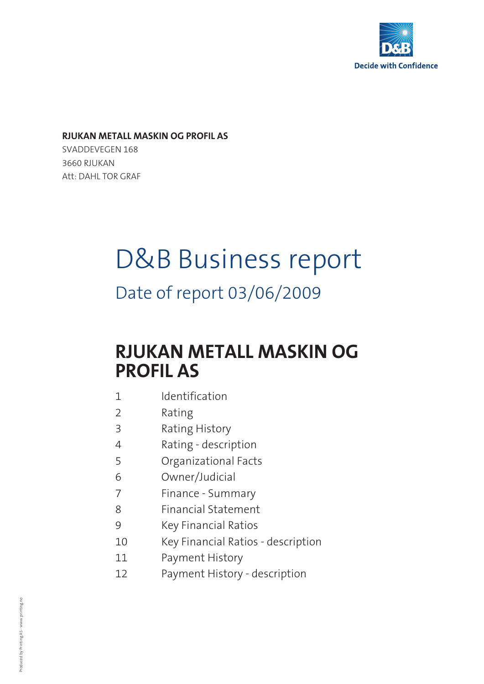

### **RJUKAN METALL MASKIN OG PROFIL AS**

SVADDEVEGEN 168 3660 RJUKAN Att: DAHL TOR GRAF

# D&B Business report

Date of report 03/06/2009

# **RJUKAN METALL MASKIN OG PROFIL AS**

- 1 Identification
- 2 Rating
- 3 Rating History
- 4 Rating description
- 5 Organizational Facts
- 6 Owner/Judicial
- 7 Finance Summary
- 8 Financial Statement
- 9 Key Financial Ratios
- 10 Key Financial Ratios description
- 11 Payment History
- 12 Payment History description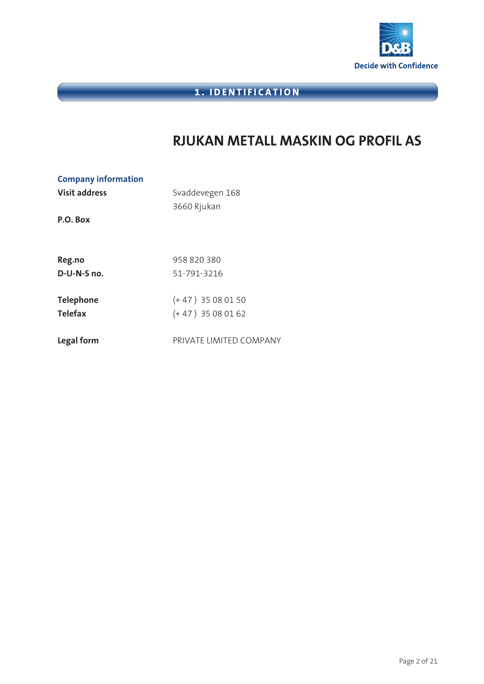

# **1. IDENTIFICATION**

# **RJUKAN METALL MASKIN OG PROFIL AS**

| <b>Company information</b><br><b>Visit address</b><br>P.O. Box | Svaddevegen 168<br>3660 Rjukan |
|----------------------------------------------------------------|--------------------------------|
| Reg.no                                                         | 958 820 380                    |
| D-U-N-S no.                                                    | 51-791-3216                    |
| <b>Telephone</b>                                               | $(+47)$ 35 08 01 50            |
| <b>Telefax</b>                                                 | $(+47)$ 35 08 01 62            |
| Legal form                                                     | PRIVATE LIMITED COMPANY        |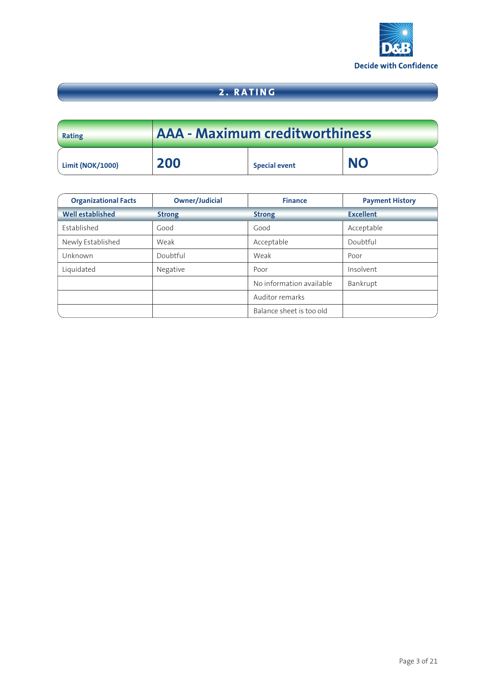

# **2. RATING**

| Rating                  | AAA - Maximum creditworthiness |                      |           |
|-------------------------|--------------------------------|----------------------|-----------|
| <b>Limit (NOK/1000)</b> | 200                            | <b>Special event</b> | <b>NO</b> |

| <b>Organizational Facts</b> | <b>Owner/Judicial</b> | <b>Finance</b>           | <b>Payment History</b> |
|-----------------------------|-----------------------|--------------------------|------------------------|
| <b>Well established</b>     | <b>Strong</b>         | <b>Strong</b>            | <b>Excellent</b>       |
| Established                 | Good                  | Good                     | Acceptable             |
| Newly Established           | Weak                  | Acceptable               | Doubtful               |
| Unknown                     | Doubtful              | Weak                     | Poor                   |
| Liquidated                  | Negative              | Poor                     | Insolvent              |
|                             |                       | No information available | Bankrupt               |
|                             |                       | Auditor remarks          |                        |
|                             |                       | Balance sheet is too old |                        |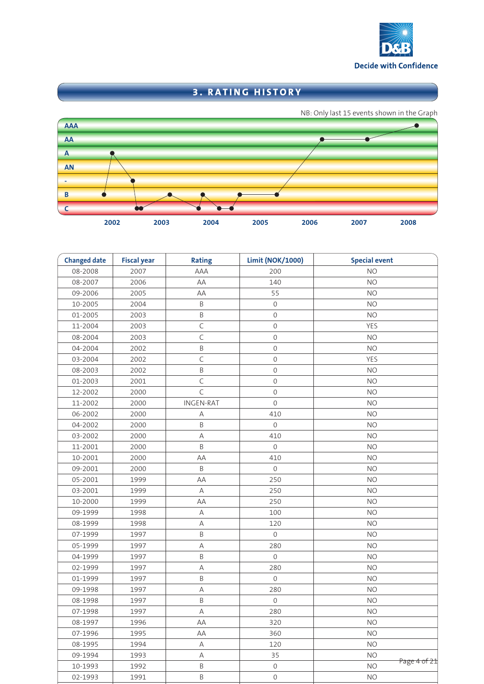

# **3. RATING HISTORY**



| <b>Changed date</b> | <b>Fiscal year</b> | <b>Rating</b>    | <b>Limit (NOK/1000)</b> | <b>Special event</b>      |
|---------------------|--------------------|------------------|-------------------------|---------------------------|
| 08-2008             | 2007               | AAA              | 200                     | <b>NO</b>                 |
| 08-2007             | 2006               | AA               | 140                     | <b>NO</b>                 |
| 09-2006             | 2005               | AA               | 55                      | <b>NO</b>                 |
| 10-2005             | 2004               | B                | $\mathbf 0$             | <b>NO</b>                 |
| 01-2005             | 2003               | B                | $\mathbf 0$             | <b>NO</b>                 |
| 11-2004             | 2003               | $\mathsf C$      | $\mathbf 0$             | <b>YES</b>                |
| 08-2004             | 2003               | $\mathsf C$      | $\mathbf 0$             | <b>NO</b>                 |
| 04-2004             | 2002               | $\sf B$          | $\mathbf 0$             | <b>NO</b>                 |
| 03-2004             | 2002               | $\mathsf C$      | $\mathbf 0$             | <b>YES</b>                |
| 08-2003             | 2002               | $\sf B$          | $\mathbf 0$             | <b>NO</b>                 |
| 01-2003             | 2001               | $\mathsf C$      | $\mathbf 0$             | <b>NO</b>                 |
| 12-2002             | 2000               | $\mathsf{C}$     | $\mathbf 0$             | <b>NO</b>                 |
| 11-2002             | 2000               | <b>INGEN-RAT</b> | $\mathbf 0$             | <b>NO</b>                 |
| 06-2002             | 2000               | Α                | 410                     | <b>NO</b>                 |
| 04-2002             | 2000               | $\sf B$          | $\mathsf{O}\xspace$     | <b>NO</b>                 |
| 03-2002             | 2000               | Α                | 410                     | <b>NO</b>                 |
| 11-2001             | 2000               | $\sf B$          | $\mathbf 0$             | <b>NO</b>                 |
| 10-2001             | 2000               | AА               | 410                     | <b>NO</b>                 |
| 09-2001             | 2000               | B                | $\mathbf 0$             | <b>NO</b>                 |
| 05-2001             | 1999               | AА               | 250                     | <b>NO</b>                 |
| 03-2001             | 1999               | Α                | 250                     | <b>NO</b>                 |
| 10-2000             | 1999               | AА               | 250                     | <b>NO</b>                 |
| 09-1999             | 1998               | Α                | 100                     | <b>NO</b>                 |
| 08-1999             | 1998               | Α                | 120                     | <b>NO</b>                 |
| 07-1999             | 1997               | $\sf B$          | $\mathbf 0$             | <b>NO</b>                 |
| 05-1999             | 1997               | $\mathsf A$      | 280                     | <b>NO</b>                 |
| 04-1999             | 1997               | B                | $\mathsf{O}\xspace$     | <b>NO</b>                 |
| 02-1999             | 1997               | $\mathsf A$      | 280                     | <b>NO</b>                 |
| 01-1999             | 1997               | $\sf B$          | $\mathbf 0$             | <b>NO</b>                 |
| 09-1998             | 1997               | $\mathsf A$      | 280                     | <b>NO</b>                 |
| 08-1998             | 1997               | $\sf B$          | $\mathsf{O}\xspace$     | <b>NO</b>                 |
| 07-1998             | 1997               | Α                | 280                     | <b>NO</b>                 |
| 08-1997             | 1996               | AA               | 320                     | <b>NO</b>                 |
| 07-1996             | 1995               | AA               | 360                     | <b>NO</b>                 |
| 08-1995             | 1994               | Α                | 120                     | <b>NO</b>                 |
| 09-1994             | 1993               | Α                | 35                      | <b>NO</b>                 |
| 10-1993             | 1992               | B                | $\mathbf 0$             | Page 4 of 21<br><b>NO</b> |
| 02-1993             | 1991               | Β                | $\mathbf 0$             | <b>NO</b>                 |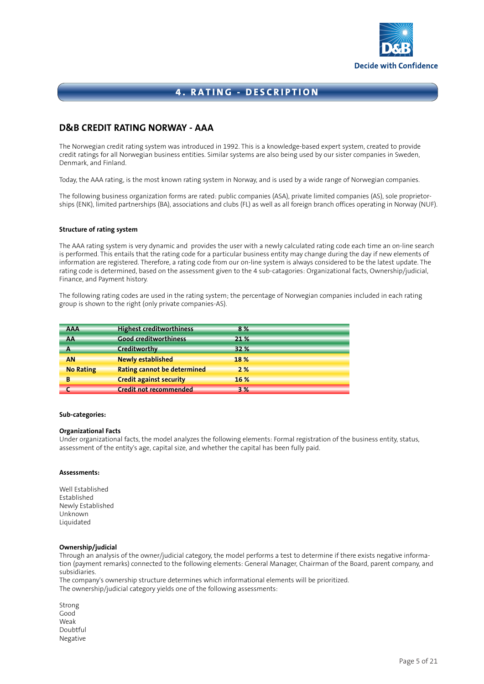

### **D&B CREDIT RATING NORWAY - AAA**

The Norwegian credit rating system was introduced in 1992. This is a knowledge-based expert system, created to provide credit ratings for all Norwegian business entities. Similar systems are also being used by our sister companies in Sweden, Denmark, and Finland.

Today, the AAA rating, is the most known rating system in Norway, and is used by a wide range of Norwegian companies.

The following business organization forms are rated: public companies (ASA), private limited companies (AS), sole proprietorships (ENK), limited partnerships (BA), associations and clubs (FL) as well as all foreign branch offices operating in Norway (NUF).

#### **Structure of rating system**

The AAA rating system is very dynamic and provides the user with a newly calculated rating code each time an on-line search is performed. This entails that the rating code for a particular business entity may change during the day if new elements of information are registered. Therefore, a rating code from our on-line system is always considered to be the latest update. The rating code is determined, based on the assessment given to the 4 sub-catagories: Organizational facts, Ownership/judicial, Finance, and Payment history.

The following rating codes are used in the rating system; the percentage of Norwegian companies included in each rating group is shown to the right (only private companies-AS).

| <b>AAA</b>       | <b>Highest creditworthiness</b>    | 8%   |  |
|------------------|------------------------------------|------|--|
| AA               | <b>Good creditworthiness</b>       | 21 % |  |
| Α                | Creditworthy                       | 32 % |  |
| AN               | <b>Newly established</b>           | 18%  |  |
| <b>No Rating</b> | <b>Rating cannot be determined</b> | 2%   |  |
| B                | <b>Credit against security</b>     | 16 % |  |
|                  | <b>Credit not recommended</b>      | 3%   |  |

#### **Sub-categories:**

#### **Organizational Facts**

Under organizational facts, the model analyzes the following elements: Formal registration of the business entity, status, assessment of the entity's age, capital size, and whether the capital has been fully paid.

#### **Assessments:**

Well Established Established Newly Established Unknown Liquidated

#### **Ownership/judicial**

Through an analysis of the owner/judicial category, the model performs a test to determine if there exists negative information (payment remarks) connected to the following elements: General Manager, Chairman of the Board, parent company, and subsidiaries.

The company's ownership structure determines which informational elements will be prioritized. The ownership/judicial category yields one of the following assessments:

Strong Good Weak Doubtful Negative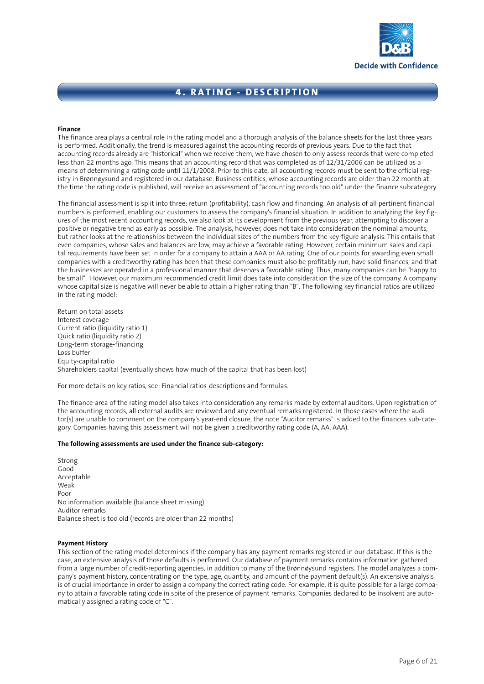

#### **Finance**

The finance area plays a central role in the rating model and a thorough analysis of the balance sheets for the last three years is performed. Additionally, the trend is measured against the accounting records of previous years. Due to the fact that accounting records already are "historical" when we receive them, we have chosen to only assess records that were completed less than 22 months ago. This means that an accounting record that was completed as of 12/31/2006 can be utilized as a means of determining a rating code until 11/1/2008. Prior to this date, all accounting records must be sent to the official registry in Brønnøysund and registered in our database. Business entities, whose accounting records are older than 22 month at the time the rating code is published, will receive an assessment of "accounting records too old" under the finance subcategory.

The financial assessment is split into three: return (profitability), cash flow and financing. An analysis of all pertinent financial numbers is performed, enabling our customers to assess the company's financial situation. In addition to analyzing the key figures of the most recent accounting records, we also look at its development from the previous year, attempting to discover a positive or negative trend as early as possible. The analysis, however, does not take into consideration the nominal amounts, but rather looks at the relationships between the individual sizes of the numbers from the key-figure analysis. This entails that even companies, whose sales and balances are low, may achieve a favorable rating. However, certain minimum sales and capital requirements have been set in order for a company to attain a AAA or AA rating. One of our points for awarding even small companies with a creditworthy rating has been that these companies must also be profitably run, have solid finances, and that the businesses are operated in a professional manner that deserves a favorable rating. Thus, many companies can be "happy to be small". However, our maximum recommended credit limit does take into consideration the size of the company. A company whose capital size is negative will never be able to attain a higher rating than "B". The following key financial ratios are utilized in the rating model:

Return on total assets Interest coverage Current ratio (liquidity ratio 1) Quick ratio (liquidity ratio 2) Long-term storage-financing Loss buffer Equity-capital ratio Shareholders capital (eventually shows how much of the capital that has been lost)

For more details on key ratios, see: Financial ratios-descriptions and formulas.

The finance-area of the rating model also takes into consideration any remarks made by external auditors. Upon registration of the accounting records, all external audits are reviewed and any eventual remarks registered. In those cases where the auditor(s) are unable to comment on the company's year-end closure, the note "Auditor remarks" is added to the finances sub-category. Companies having this assessment will not be given a creditworthy rating code (A, AA, AAA).

#### **The following assessments are used under the finance sub-category:**

Strong Good Acceptable Weak Poor No information available (balance sheet missing) Auditor remarks Balance sheet is too old (records are older than 22 months)

#### **Payment History**

This section of the rating model determines if the company has any payment remarks registered in our database. If this is the case, an extensive analysis of those defaults is performed. Our database of payment remarks contains information gathered from a large number of credit-reporting agencies, in addition to many of the Brønnøysund registers. The model analyzes a company's payment history, concentrating on the type, age, quantity, and amount of the payment default(s). An extensive analysis is of crucial importance in order to assign a company the correct rating code. For example, it is quite possible for a large company to attain a favorable rating code in spite of the presence of payment remarks. Companies declared to be insolvent are automatically assigned a rating code of "C".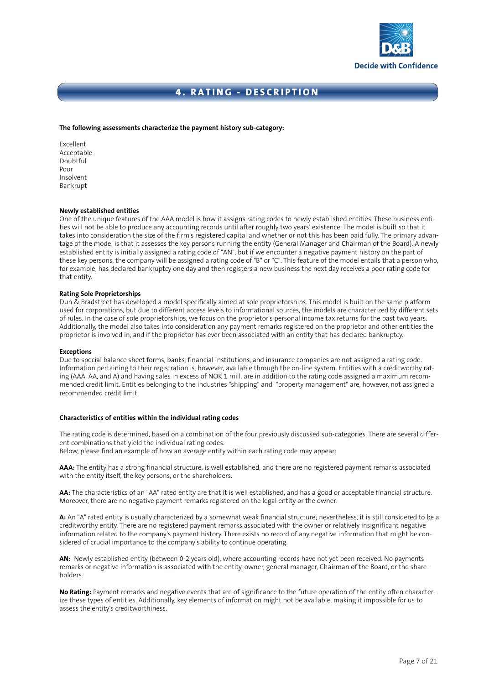

#### **The following assessments characterize the payment history sub-category:**

Excellent Acceptable Doubtful Poor Insolvent Bankrupt

#### **Newly established entities**

One of the unique features of the AAA model is how it assigns rating codes to newly established entities. These business entities will not be able to produce any accounting records until after roughly two years' existence. The model is built so that it takes into consideration the size of the firm's registered capital and whether or not this has been paid fully. The primary advantage of the model is that it assesses the key persons running the entity (General Manager and Chairman of the Board). A newly established entity is initially assigned a rating code of "AN", but if we encounter a negative payment history on the part of these key persons, the company will be assigned a rating code of "B" or "C". This feature of the model entails that a person who, for example, has declared bankruptcy one day and then registers a new business the next day receives a poor rating code for that entity.

#### **Rating Sole Proprietorships**

Dun & Bradstreet has developed a model specifically aimed at sole proprietorships. This model is built on the same platform used for corporations, but due to different access levels to informational sources, the models are characterized by different sets of rules. In the case of sole proprietorships, we focus on the proprietor's personal income tax returns for the past two years. Additionally, the model also takes into consideration any payment remarks registered on the proprietor and other entities the proprietor is involved in, and if the proprietor has ever been associated with an entity that has declared bankruptcy.

#### **Exceptions**

Due to special balance sheet forms, banks, financial institutions, and insurance companies are not assigned a rating code. Information pertaining to their registration is, however, available through the on-line system. Entities with a creditworthy rating (AAA, AA, and A) and having sales in excess of NOK 1 mill. are in addition to the rating code assigned a maximum recommended credit limit. Entities belonging to the industries "shipping" and "property management" are, however, not assigned a recommended credit limit.

#### **Characteristics of entities within the individual rating codes**

The rating code is determined, based on a combination of the four previously discussed sub-categories. There are several different combinations that yield the individual rating codes.

Below, please find an example of how an average entity within each rating code may appear:

**AAA:** The entity has a strong financial structure, is well established, and there are no registered payment remarks associated with the entity itself, the key persons, or the shareholders.

**AA:** The characteristics of an "AA" rated entity are that it is well established, and has a good or acceptable financial structure. Moreover, there are no negative payment remarks registered on the legal entity or the owner.

**A:** An "A" rated entity is usually characterized by a somewhat weak financial structure; nevertheless, it is still considered to be a creditworthy entity. There are no registered payment remarks associated with the owner or relatively insignificant negative information related to the company's payment history. There exists no record of any negative information that might be considered of crucial importance to the company's ability to continue operating.

**AN:** Newly established entity (between 0-2 years old), where accounting records have not yet been received. No payments remarks or negative information is associated with the entity, owner, general manager, Chairman of the Board, or the shareholders.

**No Rating:** Payment remarks and negative events that are of significance to the future operation of the entity often characterize these types of entities. Additionally, key elements of information might not be available, making it impossible for us to assess the entity's creditworthiness.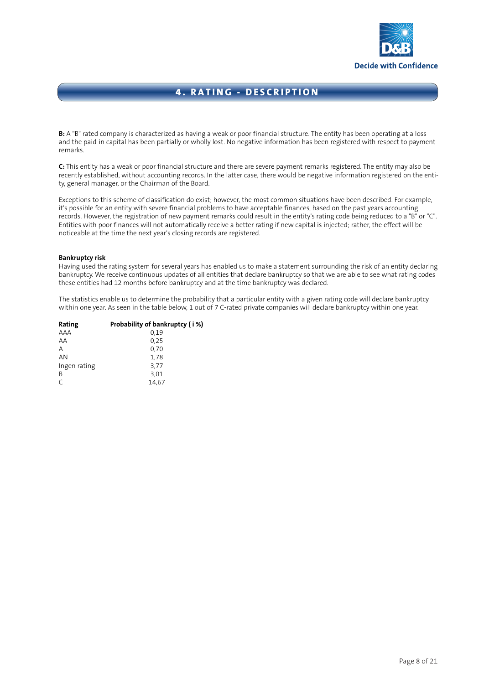

**B:** A "B" rated company is characterized as having a weak or poor financial structure. The entity has been operating at a loss and the paid-in capital has been partially or wholly lost. No negative information has been registered with respect to payment remarks.

**C:** This entity has a weak or poor financial structure and there are severe payment remarks registered. The entity may also be recently established, without accounting records. In the latter case, there would be negative information registered on the entity, general manager, or the Chairman of the Board.

Exceptions to this scheme of classification do exist; however, the most common situations have been described. For example, it's possible for an entity with severe financial problems to have acceptable finances, based on the past years accounting records. However, the registration of new payment remarks could result in the entity's rating code being reduced to a "B" or "C". Entities with poor finances will not automatically receive a better rating if new capital is injected; rather, the effect will be noticeable at the time the next year's closing records are registered.

#### **Bankruptcy risk**

Having used the rating system for several years has enabled us to make a statement surrounding the risk of an entity declaring bankruptcy. We receive continuous updates of all entities that declare bankruptcy so that we are able to see what rating codes these entities had 12 months before bankruptcy and at the time bankruptcy was declared.

The statistics enable us to determine the probability that a particular entity with a given rating code will declare bankruptcy within one year. As seen in the table below, 1 out of 7 C-rated private companies will declare bankruptcy within one year.

| Rating       | Probability of bankruptcy (i %) |
|--------------|---------------------------------|
| AAA          | 0.19                            |
| AA           | 0.25                            |
| Α            | 0.70                            |
| AN           | 1.78                            |
| Ingen rating | 3,77                            |
| B            | 3,01                            |
| $\subset$    | 14,67                           |
|              |                                 |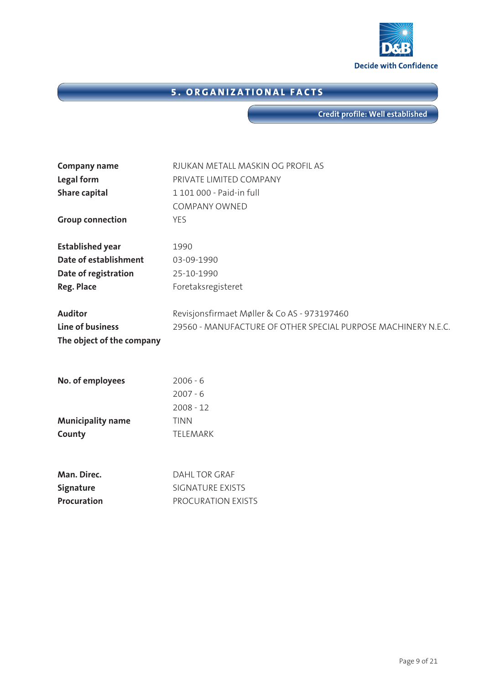

# **5. ORGANIZATIONAL FACTS**

**Credit profile: Well established**

| <b>Company name</b>       | RJUKAN METALL MASKIN OG PROFIL AS                             |
|---------------------------|---------------------------------------------------------------|
| Legal form                | PRIVATE LIMITED COMPANY                                       |
| <b>Share capital</b>      | 1 101 000 - Paid-in full                                      |
|                           | <b>COMPANY OWNED</b>                                          |
| <b>Group connection</b>   | <b>YES</b>                                                    |
| <b>Established year</b>   | 1990                                                          |
| Date of establishment     | 03-09-1990                                                    |
| Date of registration      | 25-10-1990                                                    |
| <b>Reg. Place</b>         | Foretaksregisteret                                            |
| <b>Auditor</b>            | Revisjonsfirmaet Møller & Co AS - 973197460                   |
| Line of business          | 29560 - MANUFACTURE OF OTHER SPECIAL PURPOSE MACHINERY N.E.C. |
| The object of the company |                                                               |
| No. of employees          | $2006 - 6$                                                    |
|                           | $2007 - 6$                                                    |
|                           | $2008 - 12$                                                   |
| <b>Municipality name</b>  | <b>TINN</b>                                                   |
| County                    | TELEMARK                                                      |
|                           |                                                               |
| Man. Direc.               | <b>DAHL TOR GRAF</b>                                          |
| Signature                 | <b>SIGNATURE EXISTS</b>                                       |
| Procuration               | PROCURATION EXISTS                                            |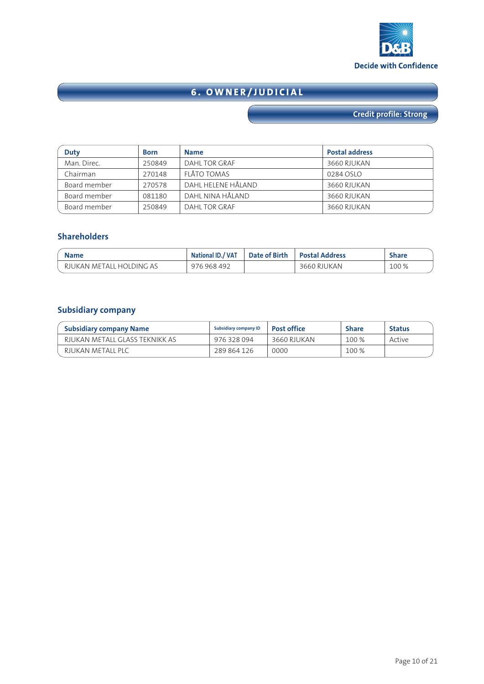

# **6. OWNER/JUDICIAL**

# **Credit profile: Strong**

| <b>Duty</b>  | <b>Born</b> | <b>Name</b>        | <b>Postal address</b> |
|--------------|-------------|--------------------|-----------------------|
| Man. Direc.  | 250849      | DAHL TOR GRAF      | 3660 RJUKAN           |
| Chairman     | 270148      | FLÅTO TOMAS        | 0284 OSLO             |
| Board member | 270578      | DAHL HELENE HÅLAND | 3660 RJUKAN           |
| Board member | 081180      | DAHL NINA HÅLAND   | 3660 RJUKAN           |
| Board member | 250849      | DAHL TOR GRAF      | 3660 RJUKAN           |

### **Shareholders**

| <b>Name</b>              | National ID./ VAT | Date of Birth | <b>Postal Address</b> | ihare |
|--------------------------|-------------------|---------------|-----------------------|-------|
| RJUKAN METALL HOLDING AS | 976 968 492       |               | 3660 RJUKAN           | 100 % |

### **Subsidiary company**

| Subsidiary company Name        | <b>Subsidiary company ID</b> | <b>Post office</b> | <b>Share</b> | <b>Status</b> |
|--------------------------------|------------------------------|--------------------|--------------|---------------|
| RIUKAN METALL GLASS TEKNIKK AS | 976 328 094                  | 3660 RJUKAN        | 100 %        | Active        |
| RJUKAN METALL PLC              | 289 864 126                  | 0000               | 100 %        |               |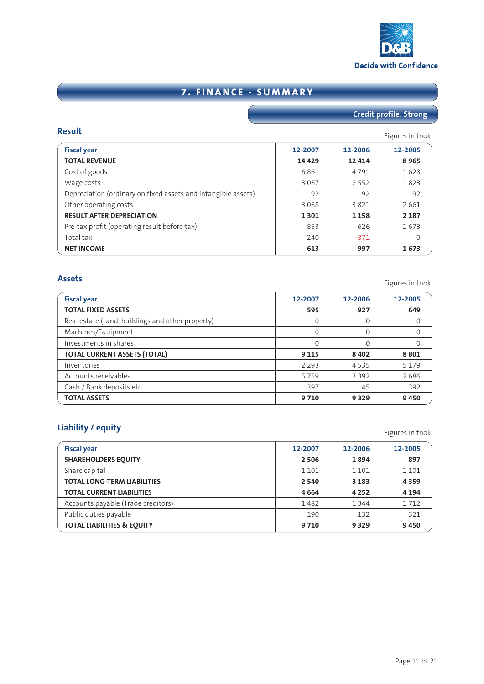

# **7. FINANCE - SUMMARY**

# **Credit profile: Strong**

| <b>Result</b>                                                 |         |         | Figures in tnok |
|---------------------------------------------------------------|---------|---------|-----------------|
| <b>Fiscal year</b>                                            | 12-2007 | 12-2006 | 12-2005         |
| <b>TOTAL REVENUE</b>                                          | 14 4 29 | 12 4 14 | 8965            |
| Cost of goods                                                 | 6861    | 4791    | 1628            |
| Wage costs                                                    | 3 0 8 7 | 2 5 5 2 | 1823            |
| Depreciation (ordinary on fixed assets and intangible assets) | 92      | 92      | 92              |
| Other operating costs                                         | 3088    | 3821    | 2661            |
| <b>RESULT AFTER DEPRECIATION</b>                              | 1 3 0 1 | 1 1 5 8 | 2 1 8 7         |
| Pre-tax profit (operating result before tax)                  | 853     | 626     | 1673            |
| Total tax                                                     | 240     | $-371$  | 0               |
| <b>NET INCOME</b>                                             | 613     | 997     | 1673            |

| <b>Assets</b>                                    |          |          | Figures in tnok |
|--------------------------------------------------|----------|----------|-----------------|
| <b>Fiscal year</b>                               | 12-2007  | 12-2006  | 12-2005         |
| <b>TOTAL FIXED ASSETS</b>                        | 595      | 927      | 649             |
| Real estate (Land, buildings and other property) | $\Omega$ | $\Omega$ | 0               |
| Machines/Equipment                               | $\Omega$ | $\Omega$ | $\overline{0}$  |
| Investments in shares                            | $\Omega$ | $\Omega$ | $\Omega$        |
| <b>TOTAL CURRENT ASSETS (TOTAL)</b>              | 9 1 1 5  | 8 4 0 2  | 8801            |
| Inventories                                      | 2 2 9 3  | 4535     | 5 1 7 9         |
| Accounts receivables                             | 5759     | 3 3 9 2  | 2686            |
| Cash / Bank deposits etc.                        | 397      | 45       | 392             |
| <b>TOTAL ASSETS</b>                              | 9710     | 9 3 2 9  | 9450            |

# **Liability / equity** Figures in the set of the set of the set of the set of the set of the set of the set of the set of the set of the set of the set of the set of the set of the set of the set of the set of the set of the

| <b>Fiscal year</b>                    | 12-2007 | 12-2006 | 12-2005 |
|---------------------------------------|---------|---------|---------|
|                                       |         |         |         |
| <b>SHAREHOLDERS EOUITY</b>            | 2 5 0 6 | 1894    | 897     |
| Share capital                         | 1 1 0 1 | 1 1 0 1 | 1 1 0 1 |
| <b>TOTAL LONG-TERM LIABILITIES</b>    | 2 5 4 0 | 3 1 8 3 | 4359    |
| <b>TOTAL CURRENT LIABILITIES</b>      | 4664    | 4 2 5 2 | 4 1 9 4 |
| Accounts payable (Trade creditors)    | 1482    | 1 3 4 4 | 1712    |
| Public duties payable                 | 190     | 132     | 321     |
| <b>TOTAL LIABILITIES &amp; EQUITY</b> | 9710    | 9 3 2 9 | 9450    |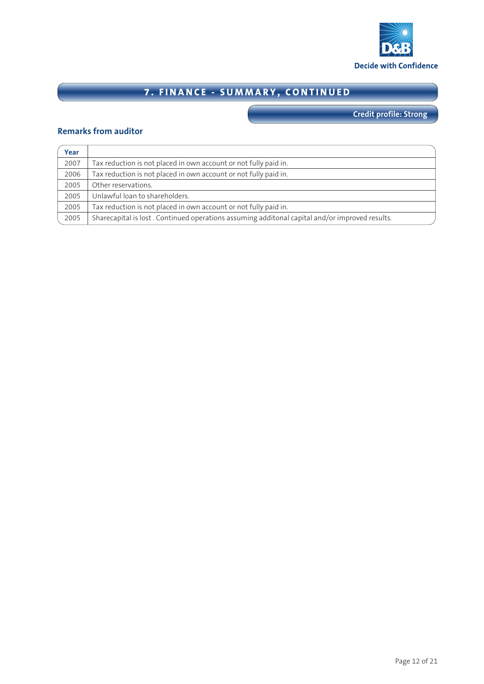

# **7. FINANCE - SUMMARY, CONTINUED**

**Credit profile: Strong**

### **Remarks from auditor**

| Year |                                                                                                |
|------|------------------------------------------------------------------------------------------------|
| 2007 | Tax reduction is not placed in own account or not fully paid in.                               |
| 2006 | Tax reduction is not placed in own account or not fully paid in.                               |
| 2005 | Other reservations.                                                                            |
| 2005 | Unlawful loan to shareholders.                                                                 |
| 2005 | Tax reduction is not placed in own account or not fully paid in.                               |
| 2005 | Sharecapital is lost. Continued operations assuming additonal capital and/or improved results. |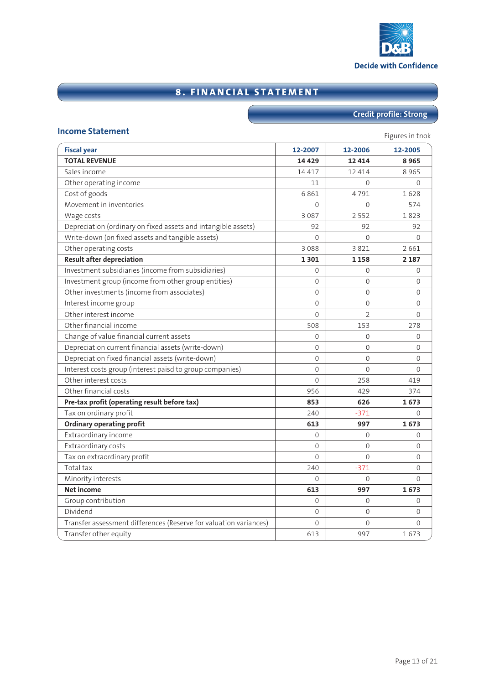

# **8. FINANCIAL STATEMENT**

# **Credit profile: Strong**

### **Income Statement Income Statement**

| <b>Figures</b> in those<br><b>Fiscal year</b><br>12-2007<br>12-2006 |                |                |                 |  |  |
|---------------------------------------------------------------------|----------------|----------------|-----------------|--|--|
| <b>TOTAL REVENUE</b>                                                | 14 4 29        | 12 4 14        | 12-2005<br>8965 |  |  |
| Sales income                                                        | 14 4 17        | 12 4 14        | 8965            |  |  |
|                                                                     | 11             | $\Omega$       | $\mathbf 0$     |  |  |
| Other operating income                                              | 6861           | 4791           |                 |  |  |
| Cost of goods<br>Movement in inventories                            |                |                | 1628            |  |  |
|                                                                     | $\Omega$       | $\Omega$       | 574             |  |  |
| Wage costs                                                          | 3 0 8 7        | 2 5 5 2        | 1823            |  |  |
| Depreciation (ordinary on fixed assets and intangible assets)       | 92             | 92             | 92              |  |  |
| Write-down (on fixed assets and tangible assets)                    | $\Omega$       | $\Omega$       | $\Omega$        |  |  |
| Other operating costs                                               | 3088           | 3821           | 2661            |  |  |
| <b>Result after depreciation</b>                                    | 1301           | 1 1 5 8        | 2 1 8 7         |  |  |
| Investment subsidiaries (income from subsidiaries)                  | $\Omega$       | $\Omega$       | $\Omega$        |  |  |
| Investment group (income from other group entities)                 | 0              | $\Omega$       | 0               |  |  |
| Other investments (income from associates)                          | 0              | $\Omega$       | 0               |  |  |
| Interest income group                                               | 0              | 0              | 0               |  |  |
| Other interest income                                               | $\Omega$       | $\overline{2}$ | $\overline{0}$  |  |  |
| Other financial income                                              | 508            | 153            | 278             |  |  |
| Change of value financial current assets                            | 0              | $\Omega$       | 0               |  |  |
| Depreciation current financial assets (write-down)                  | 0              | 0              | 0               |  |  |
| Depreciation fixed financial assets (write-down)                    | $\overline{0}$ | $\Omega$       | 0               |  |  |
| Interest costs group (interest paisd to group companies)            | 0              | $\Omega$       | $\overline{0}$  |  |  |
| Other interest costs                                                | 0              | 258            | 419             |  |  |
| Other financial costs                                               | 956            | 429            | 374             |  |  |
| Pre-tax profit (operating result before tax)                        | 853            | 626            | 1673            |  |  |
| Tax on ordinary profit                                              | 240            | $-371$         | $\mathbf{0}$    |  |  |
| <b>Ordinary operating profit</b>                                    | 613            | 997            | 1673            |  |  |
| Extraordinary income                                                | 0              | $\Omega$       | $\mathbf{0}$    |  |  |
| Extraordinary costs                                                 | $\Omega$       | $\Omega$       | $\overline{0}$  |  |  |
| Tax on extraordinary profit                                         | 0              | $\Omega$       | 0               |  |  |
| Total tax                                                           | 240            | $-371$         | 0               |  |  |
| Minority interests                                                  | 0              | 0              | $\mathbf 0$     |  |  |
| <b>Net income</b>                                                   | 613            | 997            | 1673            |  |  |
| Group contribution                                                  | 0              | $\Omega$       | $\mathbf{0}$    |  |  |
| Dividend                                                            | 0              | $\Omega$       | $\mathbf 0$     |  |  |
| Transfer assessment differences (Reserve for valuation variances)   | 0              | 0              | $\mathbf 0$     |  |  |
| Transfer other equity                                               | 613            | 997            | 1673            |  |  |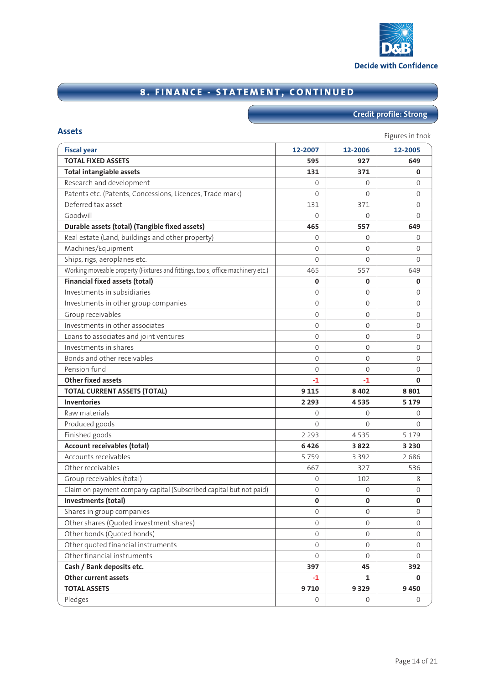

# **8. FINANCE - STATEMENT, CONTINUED**

# **Credit profile: Strong**

| <b>Fiscal year</b>                                                              | 12-2007             | 12-2006      | 12-2005        |
|---------------------------------------------------------------------------------|---------------------|--------------|----------------|
| <b>TOTAL FIXED ASSETS</b>                                                       | 595                 | 927          | 649            |
| <b>Total intangiable assets</b>                                                 | 131                 | 371          | 0              |
| Research and development                                                        | $\Omega$            | $\Omega$     | $\Omega$       |
| Patents etc. (Patents, Concessions, Licences, Trade mark)                       | $\Omega$            | $\Omega$     | $\Omega$       |
| Deferred tax asset                                                              | 131                 | 371          | $\mathbf{0}$   |
| Goodwill                                                                        | $\Omega$            | $\Omega$     | $\Omega$       |
| Durable assets (total) (Tangible fixed assets)                                  | 465                 | 557          | 649            |
| Real estate (Land, buildings and other property)                                | $\Omega$            | $\Omega$     | 0              |
| Machines/Equipment                                                              | $\Omega$            | $\Omega$     | $\Omega$       |
| Ships, rigs, aeroplanes etc.                                                    | $\Omega$            | $\Omega$     | $\Omega$       |
| Working moveable property (Fixtures and fittings, tools, office machinery etc.) | 465                 | 557          | 649            |
| <b>Financial fixed assets (total)</b>                                           | 0                   | 0            | 0              |
| Investments in subsidiaries                                                     | 0                   | $\Omega$     | $\Omega$       |
| Investments in other group companies                                            | 0                   | $\Omega$     | $\overline{0}$ |
| Group receivables                                                               | $\Omega$            | $\Omega$     | $\Omega$       |
| Investments in other associates                                                 | 0                   | $\Omega$     | $\Omega$       |
| Loans to associates and joint ventures                                          | $\Omega$            | $\Omega$     | $\Omega$       |
| Investments in shares                                                           | 0                   | $\Omega$     | $\mathbf{0}$   |
| Bonds and other receivables                                                     | $\Omega$            | $\Omega$     | $\Omega$       |
| Pension fund                                                                    | $\Omega$            | $\Omega$     | $\Omega$       |
| <b>Other fixed assets</b>                                                       | $-1$                | $-1$         | 0              |
| <b>TOTAL CURRENT ASSETS (TOTAL)</b>                                             | 9 1 1 5             | 8 4 0 2      | 8801           |
| <b>Inventories</b>                                                              | 2 2 9 3             | 4535         | 5 1 7 9        |
| Raw materials                                                                   | 0                   | $\Omega$     | 0              |
| Produced goods                                                                  | 0                   | $\Omega$     | $\Omega$       |
| Finished goods                                                                  | 2 2 9 3             | 4535         | 5 1 7 9        |
| Account receivables (total)                                                     | 6426                | 3822         | 3 2 3 0        |
| Accounts receivables                                                            | 5759                | 3 3 9 2      | 2686           |
| Other receivables                                                               | 667                 | 327          | 536            |
| Group receivables (total)                                                       | 0                   | 102          | 8              |
| Claim on payment company capital (Subscribed capital but not paid)              | $\mathsf{O}\xspace$ | 0            | 0              |
| Investments (total)                                                             | 0                   | 0            | 0              |
| Shares in group companies                                                       | 0                   | 0            | 0              |
| Other shares (Quoted investment shares)                                         | $\mathbf{0}$        | 0            | $\mathbf{0}$   |
| Other bonds (Quoted bonds)                                                      | $\mathbf{0}$        | 0            | 0              |
| Other quoted financial instruments                                              | $\mathbf 0$         | 0            | 0              |
| Other financial instruments                                                     | 0                   | 0            | 0              |
| Cash / Bank deposits etc.                                                       | 397                 | 45           | 392            |
| Other current assets                                                            | $-1$                | $\mathbf{1}$ | 0              |
| <b>TOTAL ASSETS</b>                                                             |                     | 9 3 2 9      | 9450           |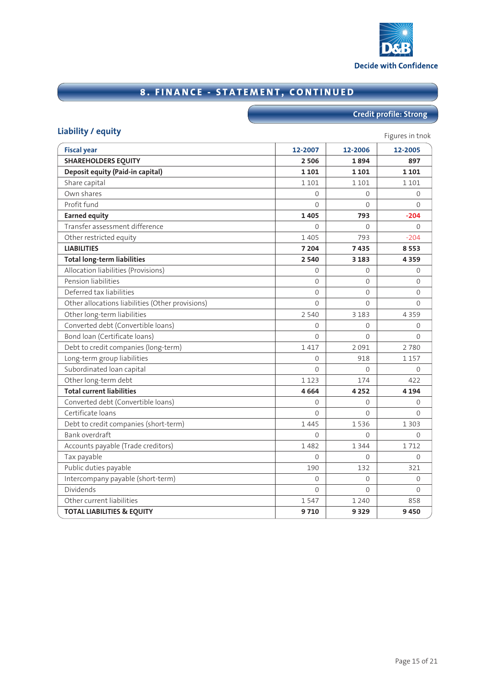

# **8. FINANCE - STATEMENT, CONTINUED**

# **Credit profile: Strong**

# **Liability / equity** Figures in the **Liability / equity**

| <b>Fiscal year</b>                               | 12-2007        | 12-2006  | 12-2005      |
|--------------------------------------------------|----------------|----------|--------------|
| <b>SHAREHOLDERS EQUITY</b>                       | 2 5 0 6        | 1894     | 897          |
| Deposit equity (Paid-in capital)                 | 1 1 0 1        | 1 1 0 1  | 1 1 0 1      |
| Share capital                                    | 1 1 0 1        | 1 1 0 1  | 1 1 0 1      |
| Own shares                                       | $\Omega$       | $\Omega$ | $\Omega$     |
| Profit fund                                      | $\Omega$       | $\Omega$ | $\Omega$     |
| <b>Earned equity</b>                             | 1405           | 793      | $-204$       |
| Transfer assessment difference                   | $\Omega$       | $\Omega$ | $\Omega$     |
| Other restricted equity                          | 1 4 0 5        | 793      | $-204$       |
| <b>LIABILITIES</b>                               | 7 204          | 7435     | 8553         |
| <b>Total long-term liabilities</b>               | 2 5 4 0        | 3 1 8 3  | 4359         |
| Allocation liabilities (Provisions)              | $\mathbf{0}$   | 0        | $\mathbf{0}$ |
| Pension liabilities                              | $\Omega$       | $\Omega$ | $\Omega$     |
| Deferred tax liabilities                         | $\overline{0}$ | $\Omega$ | 0            |
| Other allocations liabilities (Other provisions) | $\Omega$       | $\Omega$ | $\Omega$     |
| Other long-term liabilities                      | 2 5 4 0        | 3 1 8 3  | 4 3 5 9      |
| Converted debt (Convertible loans)               | 0              | $\Omega$ | $\mathbf{0}$ |
| Bond loan (Certificate loans)                    | $\Omega$       | $\Omega$ | $\Omega$     |
| Debt to credit companies (long-term)             | 1417           | 2091     | 2780         |
| Long-term group liabilities                      | $\Omega$       | 918      | 1 1 5 7      |
| Subordinated loan capital                        | $\Omega$       | $\Omega$ | $\Omega$     |
| Other long-term debt                             | 1 1 2 3        | 174      | 422          |
| <b>Total current liabilities</b>                 | 4664           | 4 2 5 2  | 4 1 9 4      |
| Converted debt (Convertible loans)               | $\mathbf 0$    | $\Omega$ | $\Omega$     |
| Certificate loans                                | $\Omega$       | $\Omega$ | $\Omega$     |
| Debt to credit companies (short-term)            | 1 4 4 5        | 1536     | 1 3 0 3      |
| Bank overdraft                                   | $\mathbf 0$    | $\Omega$ | $\mathbf{0}$ |
| Accounts payable (Trade creditors)               | 1482           | 1 3 4 4  | 1712         |
| Tax payable                                      | $\Omega$       | $\Omega$ | $\Omega$     |
| Public duties payable                            | 190            | 132      | 321          |
| Intercompany payable (short-term)                | $\mathbf{0}$   | $\Omega$ | $\Omega$     |
| Dividends                                        | $\Omega$       | $\Omega$ | $\mathbf{0}$ |
| Other current liabilities                        | 1547           | 1 2 4 0  | 858          |
| <b>TOTAL LIABILITIES &amp; EQUITY</b>            | 9710           | 9 3 2 9  | 9450         |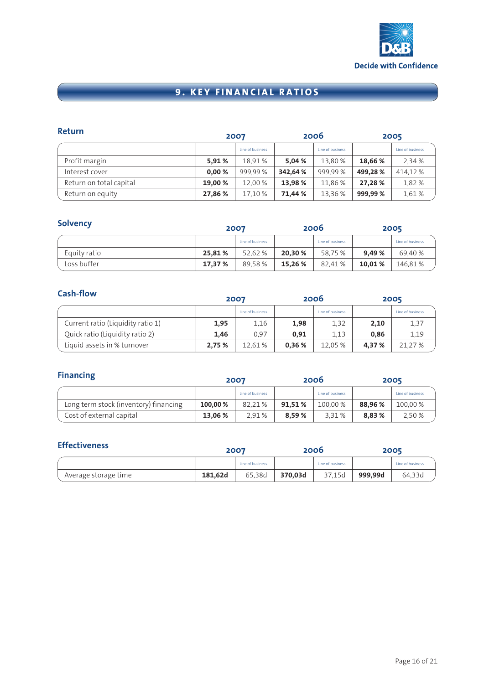

# **9. KEY FINANCIAL RATIOS**

| Return                  | 2006<br>2007 |                  |         |                  | 2005    |                  |
|-------------------------|--------------|------------------|---------|------------------|---------|------------------|
|                         |              | Line of business |         | Line of business |         | Line of business |
| Profit margin           | 5.91%        | 18.91%           | 5.04%   | 13,80 %          | 18.66%  | 2.34%            |
| Interest cover          | 0.00%        | 999.99%          | 342,64% | 999,99%          | 499.28% | 414,12%          |
| Return on total capital | 19.00 %      | 12.00 %          | 13,98%  | 11,86 %          | 27,28%  | 1,82%            |
| Return on equity        | 27,86 %      | 17,10 %          | 71,44 % | 13,36 %          | 999.99% | 1,61%            |

| е<br>עונ<br>æ |  |
|---------------|--|
|               |  |

| <b>Solvency</b> |         | 2007             |         | 2006             |        | 2005             |
|-----------------|---------|------------------|---------|------------------|--------|------------------|
|                 |         | Line of business |         | Line of business |        | Line of business |
| Equity ratio    | 25,81%  | 52.62 %          | 20,30%  | 58,75 %          | 9.49%  | 69,40 %          |
| Loss buffer     | 17,37 % | 89.58%           | 15,26 % | 82,41%           | 10,01% | 146,81%          |

| <b>Cash-flow</b>                  | 2006<br>2007 |                  |       |                  |       | 2005             |
|-----------------------------------|--------------|------------------|-------|------------------|-------|------------------|
|                                   |              | Line of business |       | Line of business |       | Line of business |
| Current ratio (Liquidity ratio 1) | 1,95         | 1,16             | 1,98  | 1,32             | 2,10  | 1,37             |
| Quick ratio (Liquidity ratio 2)   | 1.46         | 0,97             | 0.91  | 1,13             | 0,86  | 1,19             |
| Liquid assets in % turnover       | 2,75%        | 12,61 %          | 0,36% | 12,05 %          | 4,37% | 21,27 %          |

| 2007                                  |         | <b>Financing</b> |        |                  |        | 2006             |  | 2005 |
|---------------------------------------|---------|------------------|--------|------------------|--------|------------------|--|------|
|                                       |         | Line of business |        | Line of business |        | Line of business |  |      |
| Long term stock (inventory) financing | 100,00% | 82.21 %          | 91.51% | 100,00 %         | 88.96% | 100,00%          |  |      |
| Cost of external capital              | 13.06 % | 2.91 %           | 8.59%  | 3.31%            | 8.83%  | 2,50 %           |  |      |

| <b>Effectiveness</b> | 2007    |                  |         | 2006             |         | 2005             |  |
|----------------------|---------|------------------|---------|------------------|---------|------------------|--|
|                      |         | Line of business |         | Line of business |         | Line of business |  |
| Average storage time | 181.62d | 65.38d           | 370.03d | 37.15d           | 999,99d | 64.33d           |  |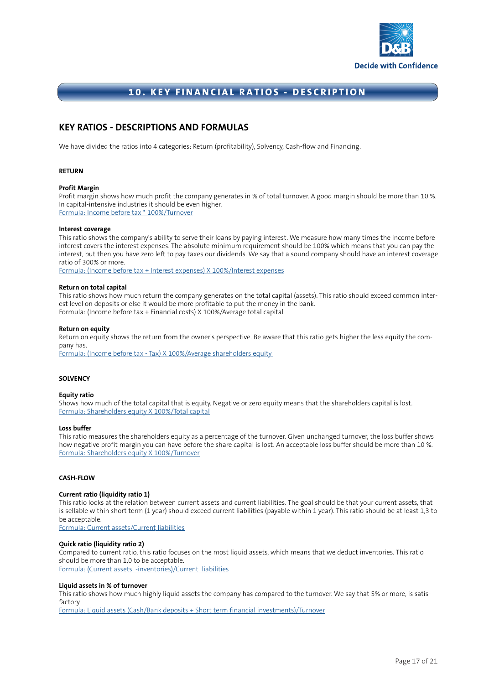

### **10. KEY FINANCIAL RATIOS - DESCRIPTION**

### **KEY RATIOS - DESCRIPTIONS AND FORMULAS**

We have divided the ratios into 4 categories: Return (profitability), Solvency, Cash-flow and Financing.

#### **RETURN**

#### **Profit Margin**

Profit margin shows how much profit the company generates in % of total turnover. A good margin should be more than 10 %. In capital-intensive industries it should be even higher. Formula: Income before tax \* 100%/Turnover

#### **Interest coverage**

This ratio shows the company's ability to serve their loans by paying interest. We measure how many times the income before interest covers the interest expenses. The absolute minimum requirement should be 100% which means that you can pay the interest, but then you have zero left to pay taxes our dividends. We say that a sound company should have an interest coverage ratio of 300% or more.

Formula: (Income before tax + Interest expenses) X 100%/Interest expenses

#### **Return on total capital**

This ratio shows how much return the company generates on the total capital (assets). This ratio should exceed common interest level on deposits or else it would be more profitable to put the money in the bank. Formula: (Income before tax + Financial costs) X 100%/Average total capital

#### **Return on equity**

Return on equity shows the return from the owner's perspective. Be aware that this ratio gets higher the less equity the company has.

Formula: (Income before tax - Tax) X 100%/Average shareholders equity

#### **SOLVENCY**

#### **Equity ratio**

Shows how much of the total capital that is equity. Negative or zero equity means that the shareholders capital is lost. Formula: Shareholders equity X 100%/Total capital

#### **Loss buffer**

This ratio measures the shareholders equity as a percentage of the turnover. Given unchanged turnover, the loss buffer shows how negative profit margin you can have before the share capital is lost. An acceptable loss buffer should be more than 10 %. Formula: Shareholders equity X 100%/Turnover

#### **CASH-FLOW**

#### **Current ratio (liquidity ratio 1)**

This ratio looks at the relation between current assets and current liabilities. The goal should be that your current assets, that is sellable within short term (1 year) should exceed current liabilities (payable within 1 year). This ratio should be at least 1,3 to be acceptable.

Formula: Current assets/Current liabilities

#### **Quick ratio (liquidity ratio 2)**

Compared to current ratio, this ratio focuses on the most liquid assets, which means that we deduct inventories. This ratio should be more than 1,0 to be acceptable. Formula: (Current assets -inventories)/Current liabilities

#### **Liquid assets in % of turnover**

This ratio shows how much highly liquid assets the company has compared to the turnover. We say that 5% or more, is satisfactory.

Formula: Liquid assets (Cash/Bank deposits + Short term financial investments)/Turnover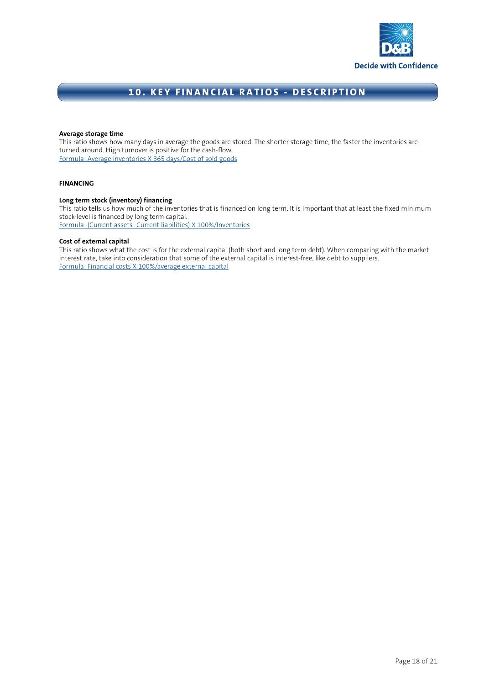

### **10. KEY FINANCIAL RATIOS - DESCRIPTION**

#### **Average storage time**

This ratio shows how many days in average the goods are stored. The shorter storage time, the faster the inventories are turned around. High turnover is positive for the cash-flow. Formula: Average inventories X 365 days/Cost of sold goods

#### **FINANCING**

#### **Long term stock (inventory) financing**

This ratio tells us how much of the inventories that is financed on long term. It is important that at least the fixed minimum stock-level is financed by long term capital. Formula: (Current assets- Current liabilities) X 100%/Inventories

#### **Cost of external capital**

This ratio shows what the cost is for the external capital (both short and long term debt). When comparing with the market interest rate, take into consideration that some of the external capital is interest-free, like debt to suppliers. Formula: Financial costs X 100%/average external capital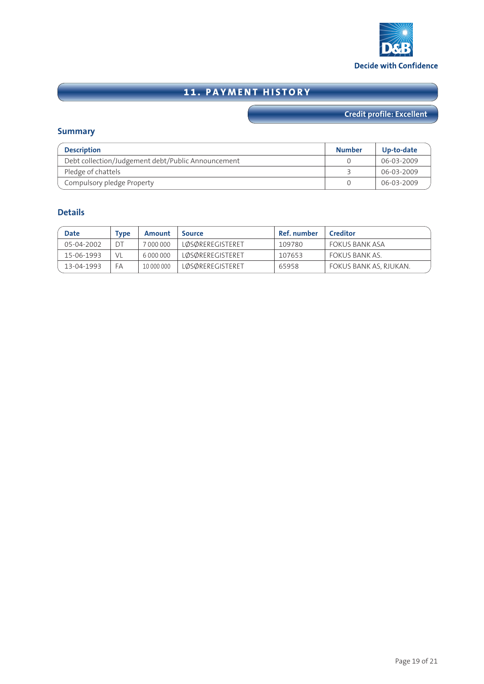

# **11. PAYMENT HISTORY**

# **Credit profile: Excellent**

### **Summary**

| <b>Description</b>                                 | <b>Number</b> | Up-to-date |
|----------------------------------------------------|---------------|------------|
| Debt collection/Judgement debt/Public Announcement |               | 06-03-2009 |
| Pledge of chattels                                 |               | 06-03-2009 |
| Compulsory pledge Property                         |               | 06-03-2009 |

### **Details**

| <b>Date</b> | Tvpe | Amount     | <b>Source</b>           | Ref. number | <b>Creditor</b>        |
|-------------|------|------------|-------------------------|-------------|------------------------|
| 05-04-2002  | DT   | 7 000 000  | LØSØREREGISTERET        | 109780      | FOKUS BANK ASA         |
| 15-06-1993  | VL   | 6 000 000  | <b>LØSØREREGISTERET</b> | 107653      | FOKUS BANK AS.         |
| 13-04-1993  | FA   | 10 000 000 | <b>LØSØREREGISTERET</b> | 65958       | FOKUS BANK AS. RJUKAN. |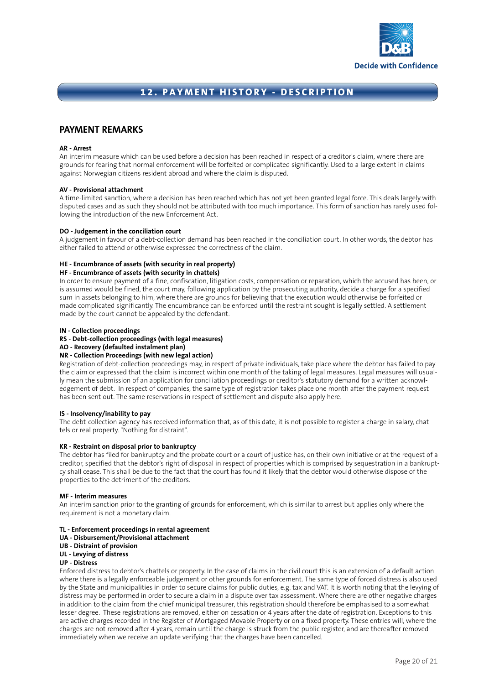

### **12. PAYMENT HISTORY - DESCRIPTION**

### **PAYMENT REMARKS**

#### **AR - Arrest**

An interim measure which can be used before a decision has been reached in respect of a creditor's claim, where there are grounds for fearing that normal enforcement will be forfeited or complicated significantly. Used to a large extent in claims against Norwegian citizens resident abroad and where the claim is disputed.

#### **AV - Provisional attachment**

A time-limited sanction, where a decision has been reached which has not yet been granted legal force. This deals largely with disputed cases and as such they should not be attributed with too much importance. This form of sanction has rarely used following the introduction of the new Enforcement Act.

#### **DO - Judgement in the conciliation court**

A judgement in favour of a debt-collection demand has been reached in the conciliation court. In other words, the debtor has either failed to attend or otherwise expressed the correctness of the claim.

#### **HE - Encumbrance of assets (with security in real property)**

#### **HF - Encumbrance of assets (with security in chattels)**

In order to ensure payment of a fine, confiscation, litigation costs, compensation or reparation, which the accused has been, or is assumed would be fined, the court may, following application by the prosecuting authority, decide a charge for a specified sum in assets belonging to him, where there are grounds for believing that the execution would otherwise be forfeited or made complicated significantly. The encumbrance can be enforced until the restraint sought is legally settled. A settlement made by the court cannot be appealed by the defendant.

#### **IN - Collection proceedings**

**RS - Debt-collection proceedings (with legal measures)**

#### **AO - Recovery (defaulted instalment plan)**

#### **NR - Collection Proceedings (with new legal action)**

Registration of debt-collection proceedings may, in respect of private individuals, take place where the debtor has failed to pay the claim or expressed that the claim is incorrect within one month of the taking of legal measures. Legal measures will usually mean the submission of an application for conciliation proceedings or creditor's statutory demand for a written acknowledgement of debt. In respect of companies, the same type of registration takes place one month after the payment request has been sent out. The same reservations in respect of settlement and dispute also apply here.

#### **IS - Insolvency/inability to pay**

The debt-collection agency has received information that, as of this date, it is not possible to register a charge in salary, chattels or real property. "Nothing for distraint".

#### **KR - Restraint on disposal prior to bankruptcy**

The debtor has filed for bankruptcy and the probate court or a court of justice has, on their own initiative or at the request of a creditor, specified that the debtor's right of disposal in respect of properties which is comprised by sequestration in a bankruptcy shall cease. This shall be due to the fact that the court has found it likely that the debtor would otherwise dispose of the properties to the detriment of the creditors.

#### **MF - Interim measures**

An interim sanction prior to the granting of grounds for enforcement, which is similar to arrest but applies only where the requirement is not a monetary claim.

#### **TL - Enforcement proceedings in rental agreement**

**UA - Disbursement/Provisional attachment**

#### **UB - Distraint of provision**

#### **UL - Levying of distress**

#### **UP - Distress**

Enforced distress to debtor's chattels or property. In the case of claims in the civil court this is an extension of a default action where there is a legally enforceable judgement or other grounds for enforcement. The same type of forced distress is also used by the State and municipalities in order to secure claims for public duties, e.g. tax and VAT. It is worth noting that the levying of distress may be performed in order to secure a claim in a dispute over tax assessment. Where there are other negative charges in addition to the claim from the chief municipal treasurer, this registration should therefore be emphasised to a somewhat lesser degree. These registrations are removed, either on cessation or 4 years after the date of registration. Exceptions to this are active charges recorded in the Register of Mortgaged Movable Property or on a fixed property. These entries will, where the charges are not removed after 4 years, remain until the charge is struck from the public register, and are thereafter removed immediately when we receive an update verifying that the charges have been cancelled.